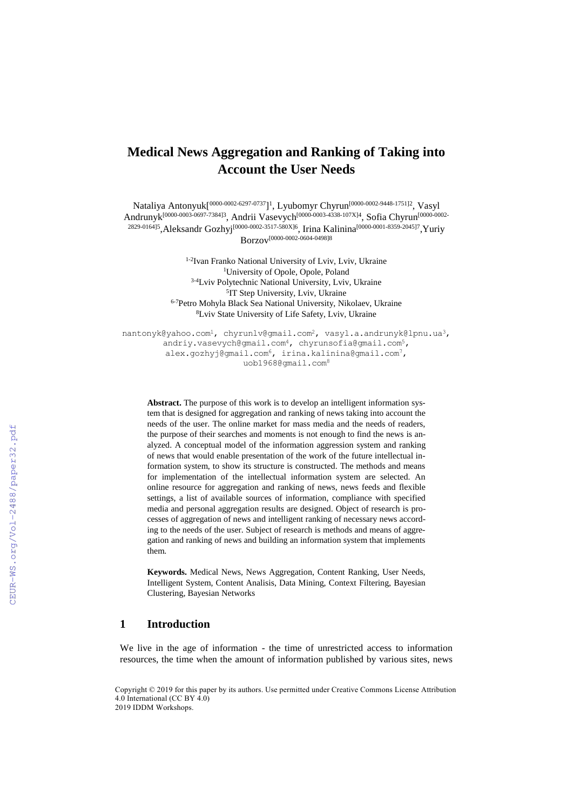# **Medical News Aggregation and Ranking of Taking into Account the User Needs**

Nataliya Antonyuk $[^{0000-0002-6297-0737}]$ <sup>1</sup>, Lyubomyr Chyrun $^{[0000-0002-9448-1751]2}$ , Vasyl Andrunyk<sup>[0000-0003-0697-7384]3</sup>, Andrii Vasevych<sup>[0000-0003-4338-107X]4</sup>, Sofia Chyrun<sup>[0000-0002-</sup> <sup>2829-0164]5</sup>,Aleksandr Gozhyj<sup>[0000-0002-3517-580X]6</sup>, Irina Kalinina<sup>[0000-0001-8359-2045]7</sup>,Yuriy Borzov [0000-0002-0604-0498]8

> 1-2 Ivan Franko National University of Lviv, Lviv, Ukraine <sup>1</sup>University of Opole, Opole, Poland 3-4Lviv Polytechnic National University, Lviv, Ukraine <sup>5</sup>IT Step University, Lviv, Ukraine 6-7Petro Mohyla Black Sea National University, Nikolaev, Ukraine <sup>8</sup>Lviv State University of Life Safety, Lviv, Ukraine

[nantonyk@yahoo.com](mailto:nantonyk@yahoo.com)<sup>1</sup>, chyrunlv@gmail.com<sup>2</sup>, [vasyl.a.andrunyk@lpnu.ua](mailto:vasyl.a.andrunyk@lpnu.ua)<sup>3</sup>, andriy.vasevych@gmail.com<sup>4</sup>, chyrunsofia@gmail.com<sup>5</sup>, [alex.gozhyj@gmail.com](mailto:alex.gozhyj@gmail.com)<sup>6</sup>, [irina.kalinina@gmail.com](mailto:irina.kalinina@gmail.com7)<sup>7</sup>, uob1968@gmail.com<sup>8</sup>

**Abstract.** The purpose of this work is to develop an intelligent information system that is designed for aggregation and ranking of news taking into account the needs of the user. The online market for mass media and the needs of readers, the purpose of their searches and moments is not enough to find the news is analyzed. A conceptual model of the information aggression system and ranking of news that would enable presentation of the work of the future intellectual information system, to show its structure is constructed. The methods and means for implementation of the intellectual information system are selected. An online resource for aggregation and ranking of news, news feeds and flexible settings, a list of available sources of information, compliance with specified media and personal aggregation results are designed. Object of research is processes of aggregation of news and intelligent ranking of necessary news according to the needs of the user. Subject of research is methods and means of aggregation and ranking of news and building an information system that implements them.

**Keywords.** Medical News, News Aggregation, Content Ranking, User Needs, Intelligent System, Content Analisis, Data Mining, Context Filtering, Bayesian Clustering, Bayesian Networks

#### **1 Introduction**

We live in the age of information - the time of unrestricted access to information resources, the time when the amount of information published by various sites, news

Copyright © 2019 for this paper by its authors. Use permitted under Creative Commons License Attribution 4.0 International (CC BY 4.0) 2019 IDDM Workshops.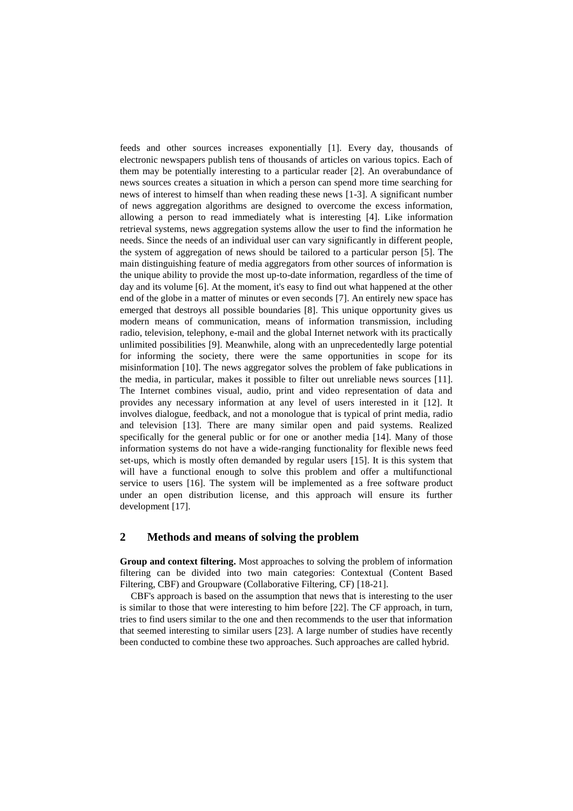feeds and other sources increases exponentially [1]. Every day, thousands of electronic newspapers publish tens of thousands of articles on various topics. Each of them may be potentially interesting to a particular reader [2]. An overabundance of news sources creates a situation in which a person can spend more time searching for news of interest to himself than when reading these news [1-3]. A significant number of news aggregation algorithms are designed to overcome the excess information, allowing a person to read immediately what is interesting [4]. Like information retrieval systems, news aggregation systems allow the user to find the information he needs. Since the needs of an individual user can vary significantly in different people, the system of aggregation of news should be tailored to a particular person [5]. The main distinguishing feature of media aggregators from other sources of information is the unique ability to provide the most up-to-date information, regardless of the time of day and its volume [6]. At the moment, it's easy to find out what happened at the other end of the globe in a matter of minutes or even seconds [7]. An entirely new space has emerged that destroys all possible boundaries [8]. This unique opportunity gives us modern means of communication, means of information transmission, including radio, television, telephony, e-mail and the global Internet network with its practically unlimited possibilities [9]. Meanwhile, along with an unprecedentedly large potential for informing the society, there were the same opportunities in scope for its misinformation [10]. The news aggregator solves the problem of fake publications in the media, in particular, makes it possible to filter out unreliable news sources [11]. The Internet combines visual, audio, print and video representation of data and provides any necessary information at any level of users interested in it [12]. It involves dialogue, feedback, and not a monologue that is typical of print media, radio and television [13]. There are many similar open and paid systems. Realized specifically for the general public or for one or another media [14]. Many of those information systems do not have a wide-ranging functionality for flexible news feed set-ups, which is mostly often demanded by regular users [15]. It is this system that will have a functional enough to solve this problem and offer a multifunctional service to users [16]. The system will be implemented as a free software product under an open distribution license, and this approach will ensure its further development [17].

### **2 Methods and means of solving the problem**

**Group and context filtering.** Most approaches to solving the problem of information filtering can be divided into two main categories: Contextual (Content Based Filtering, CBF) and Groupware (Collaborative Filtering, CF) [18-21].

CBF's approach is based on the assumption that news that is interesting to the user is similar to those that were interesting to him before [22]. The CF approach, in turn, tries to find users similar to the one and then recommends to the user that information that seemed interesting to similar users [23]. A large number of studies have recently been conducted to combine these two approaches. Such approaches are called hybrid.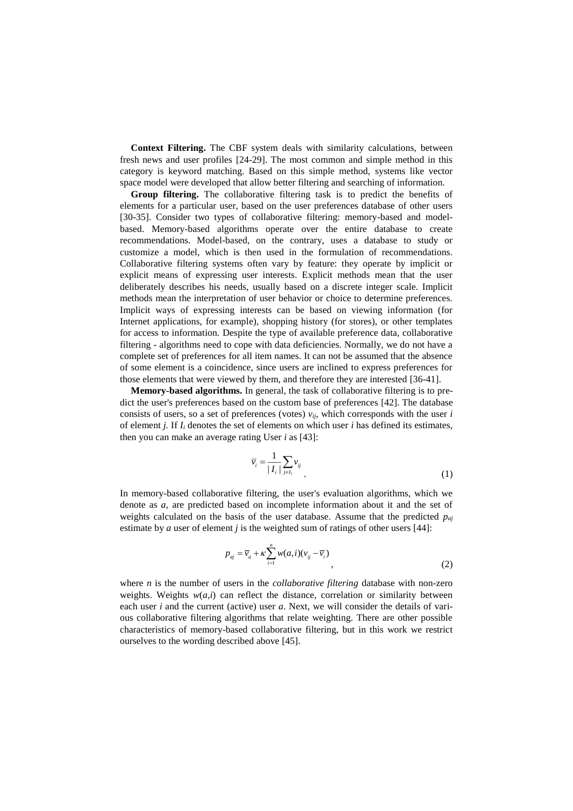**Context Filtering.** The CBF system deals with similarity calculations, between fresh news and user profiles [24-29]. The most common and simple method in this category is keyword matching. Based on this simple method, systems like vector space model were developed that allow better filtering and searching of information.

**Group filtering.** The collaborative filtering task is to predict the benefits of elements for a particular user, based on the user preferences database of other users [30-35]. Consider two types of collaborative filtering: memory-based and modelbased. Memory-based algorithms operate over the entire database to create recommendations. Model-based, on the contrary, uses a database to study or customize a model, which is then used in the formulation of recommendations. Collaborative filtering systems often vary by feature: they operate by implicit or explicit means of expressing user interests. Explicit methods mean that the user deliberately describes his needs, usually based on a discrete integer scale. Implicit methods mean the interpretation of user behavior or choice to determine preferences. Implicit ways of expressing interests can be based on viewing information (for Internet applications, for example), shopping history (for stores), or other templates for access to information. Despite the type of available preference data, collaborative filtering - algorithms need to cope with data deficiencies. Normally, we do not have a complete set of preferences for all item names. It can not be assumed that the absence of some element is a coincidence, since users are inclined to express preferences for those elements that were viewed by them, and therefore they are interested [36-41].

**Memory-based algorithms.** In general, the task of collaborative filtering is to predict the user's preferences based on the custom base of preferences [42]. The database consists of users, so a set of preferences (votes) *vij*, which corresponds with the user *i* of element *j.* If *I<sup>i</sup>* denotes the set of elements on which user *i* has defined its estimates, then you can make an average rating User *i* as [43]:

$$
\overline{\nu}_i = \frac{1}{|I_i|} \sum_{j \in I_i} \nu_{ij} \tag{1}
$$

In memory-based collaborative filtering, the user's evaluation algorithms, which we denote as *a*, are predicted based on incomplete information about it and the set of weights calculated on the basis of the user database. Assume that the predicted *paj* estimate by *a* user of element *j* is the weighted sum of ratings of other users [44]:

$$
p_{aj} = \overline{v}_a + \kappa \sum_{i=1}^n w(a,i)(v_{ij} - \overline{v}_i)
$$
\n<sup>(2)</sup>

where *n* is the number of users in the *collaborative filtering* database with non-zero weights. Weights  $w(a,i)$  can reflect the distance, correlation or similarity between each user *i* and the current (active) user *a*. Next, we will consider the details of various collaborative filtering algorithms that relate weighting. There are other possible characteristics of memory-based collaborative filtering, but in this work we restrict ourselves to the wording described above [45].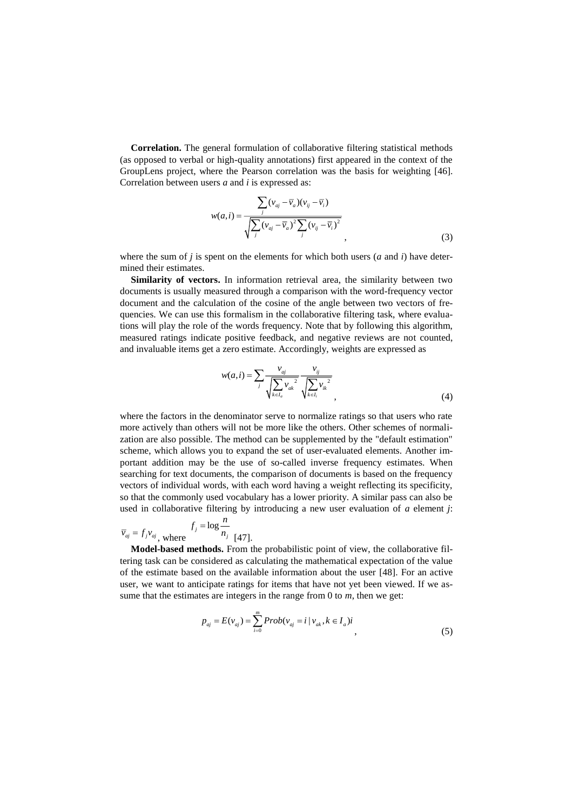**Correlation.** The general formulation of collaborative filtering statistical methods (as opposed to verbal or high-quality annotations) first appeared in the context of the GroupLens project, where the Pearson correlation was the basis for weighting [46]. Correlation between users *a* and *i* is expressed as:

$$
w(a,i) = \frac{\sum_{j} (v_{aj} - \overline{v}_a)(v_{ij} - \overline{v}_i)}{\sqrt{\sum_{j} (v_{aj} - \overline{v}_a)^2 \sum_{j} (v_{ij} - \overline{v}_i)^2}},
$$
\n(3)

where the sum of *j* is spent on the elements for which both users (*a* and *i*) have determined their estimates.

**Similarity of vectors.** In information retrieval area, the similarity between two documents is usually measured through a comparison with the word-frequency vector document and the calculation of the cosine of the angle between two vectors of frequencies. We can use this formalism in the collaborative filtering task, where evaluations will play the role of the words frequency. Note that by following this algorithm, measured ratings indicate positive feedback, and negative reviews are not counted, and invaluable items get a zero estimate. Accordingly, weights are expressed as

$$
w(a,i) = \sum_{j} \frac{v_{aj}}{\sqrt{\sum_{k \in I_a} v_{ak}^2}} \frac{v_{ij}}{\sqrt{\sum_{k \in I_i} v_{ik}^2}},
$$
(4)

where the factors in the denominator serve to normalize ratings so that users who rate more actively than others will not be more like the others. Other schemes of normalization are also possible. The method can be supplemented by the "default estimation" scheme, which allows you to expand the set of user-evaluated elements. Another important addition may be the use of so-called inverse frequency estimates. When searching for text documents, the comparison of documents is based on the frequency vectors of individual words, with each word having a weight reflecting its specificity, so that the commonly used vocabulary has a lower priority. A similar pass can also be used in collaborative filtering by introducing a new user evaluation of *a* element *j*:

$$
\overline{v}_{aj} = f_j v_{aj}, \text{ where } \frac{f_j = \log \frac{n}{n_j}}{[47]}.
$$

**Model-based methods.** From the probabilistic point of view, the collaborative filtering task can be considered as calculating the mathematical expectation of the value of the estimate based on the available information about the user [48]. For an active user, we want to anticipate ratings for items that have not yet been viewed. If we assume that the estimates are integers in the range from 0 to *m*, then we get:

$$
p_{aj} = E(v_{aj}) = \sum_{i=0}^{m} Prob(v_{aj} = i | v_{ak}, k \in I_a)i,
$$
\n(5)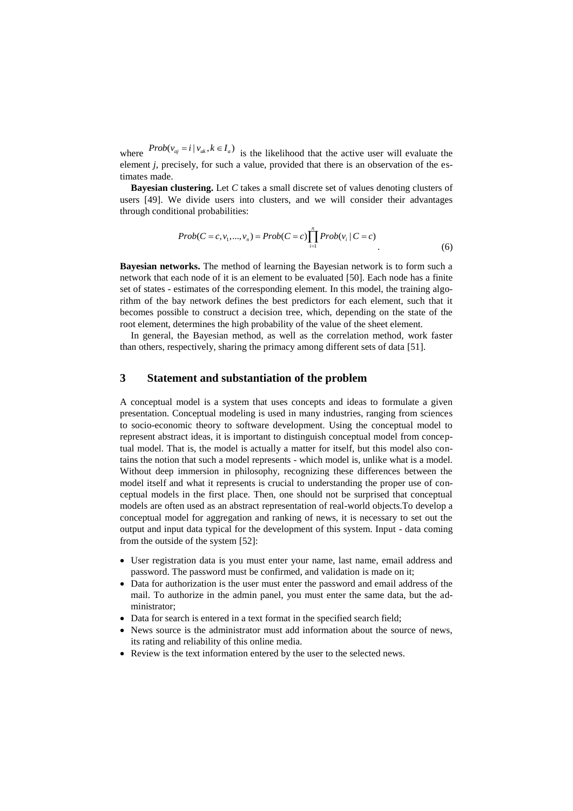where  $Prob(v_{aj} = i | v_{ak}, k \in I_a)$  is the likelihood that the active user will evaluate the element *j*, precisely, for such a value, provided that there is an observation of the estimates made.

**Bayesian clustering.** Let *C* takes a small discrete set of values denoting clusters of users [49]. We divide users into clusters, and we will consider their advantages through conditional probabilities:

$$
Prob(C = c, v_1, ..., v_n) = Prob(C = c) \prod_{i=1}^{n} Prob(v_i \mid C = c)
$$
\n(6)

**Bayesian networks.** The method of learning the Bayesian network is to form such a network that each node of it is an element to be evaluated [50]. Each node has a finite set of states - estimates of the corresponding element. In this model, the training algorithm of the bay network defines the best predictors for each element, such that it becomes possible to construct a decision tree, which, depending on the state of the root element, determines the high probability of the value of the sheet element.

In general, the Bayesian method, as well as the correlation method, work faster than others, respectively, sharing the primacy among different sets of data [51].

## **3 Statement and substantiation of the problem**

A conceptual model is a system that uses concepts and ideas to formulate a given presentation. Conceptual modeling is used in many industries, ranging from sciences to socio-economic theory to software development. Using the conceptual model to represent abstract ideas, it is important to distinguish conceptual model from conceptual model. That is, the model is actually a matter for itself, but this model also contains the notion that such a model represents - which model is, unlike what is a model. Without deep immersion in philosophy, recognizing these differences between the model itself and what it represents is crucial to understanding the proper use of conceptual models in the first place. Then, one should not be surprised that conceptual models are often used as an abstract representation of real-world objects.To develop a conceptual model for aggregation and ranking of news, it is necessary to set out the output and input data typical for the development of this system. Input - data coming from the outside of the system [52]:

- User registration data is you must enter your name, last name, email address and password. The password must be confirmed, and validation is made on it;
- Data for authorization is the user must enter the password and email address of the mail. To authorize in the admin panel, you must enter the same data, but the administrator;
- Data for search is entered in a text format in the specified search field;
- News source is the administrator must add information about the source of news, its rating and reliability of this online media.
- Review is the text information entered by the user to the selected news.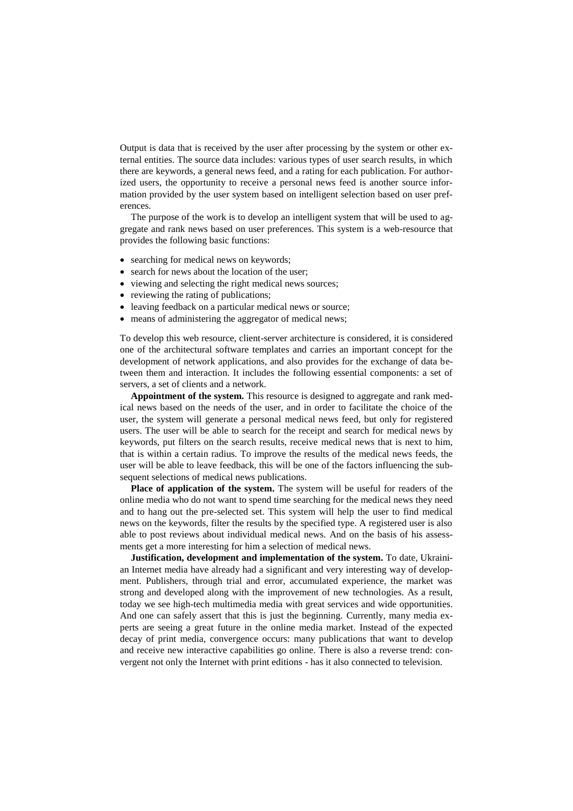Output is data that is received by the user after processing by the system or other external entities. The source data includes: various types of user search results, in which there are keywords, a general news feed, and a rating for each publication. For authorized users, the opportunity to receive a personal news feed is another source information provided by the user system based on intelligent selection based on user preferences.

The purpose of the work is to develop an intelligent system that will be used to aggregate and rank news based on user preferences. This system is a web-resource that provides the following basic functions:

- searching for medical news on keywords;
- search for news about the location of the user;
- viewing and selecting the right medical news sources;
- reviewing the rating of publications;
- leaving feedback on a particular medical news or source;
- means of administering the aggregator of medical news;

To develop this web resource, client-server architecture is considered, it is considered one of the architectural software templates and carries an important concept for the development of network applications, and also provides for the exchange of data between them and interaction. It includes the following essential components: a set of servers, a set of clients and a network.

**Appointment of the system.** This resource is designed to aggregate and rank medical news based on the needs of the user, and in order to facilitate the choice of the user, the system will generate a personal medical news feed, but only for registered users. The user will be able to search for the receipt and search for medical news by keywords, put filters on the search results, receive medical news that is next to him, that is within a certain radius. To improve the results of the medical news feeds, the user will be able to leave feedback, this will be one of the factors influencing the subsequent selections of medical news publications.

**Place of application of the system.** The system will be useful for readers of the online media who do not want to spend time searching for the medical news they need and to hang out the pre-selected set. This system will help the user to find medical news on the keywords, filter the results by the specified type. A registered user is also able to post reviews about individual medical news. And on the basis of his assessments get a more interesting for him a selection of medical news.

**Justification, development and implementation of the system.** To date, Ukrainian Internet media have already had a significant and very interesting way of development. Publishers, through trial and error, accumulated experience, the market was strong and developed along with the improvement of new technologies. As a result, today we see high-tech multimedia media with great services and wide opportunities. And one can safely assert that this is just the beginning. Currently, many media experts are seeing a great future in the online media market. Instead of the expected decay of print media, convergence occurs: many publications that want to develop and receive new interactive capabilities go online. There is also a reverse trend: convergent not only the Internet with print editions - has it also connected to television.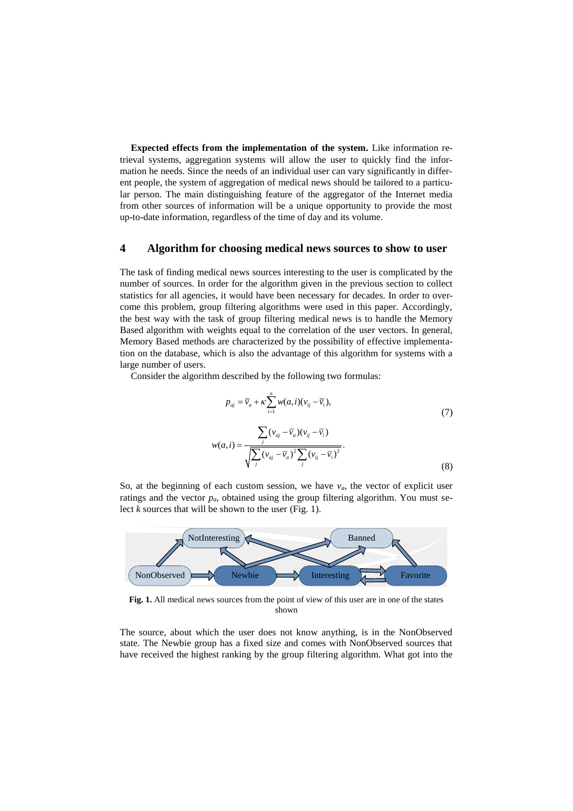**Expected effects from the implementation of the system.** Like information retrieval systems, aggregation systems will allow the user to quickly find the information he needs. Since the needs of an individual user can vary significantly in different people, the system of aggregation of medical news should be tailored to a particular person. The main distinguishing feature of the aggregator of the Internet media from other sources of information will be a unique opportunity to provide the most up-to-date information, regardless of the time of day and its volume.

### **4 Algorithm for choosing medical news sources to show to user**

The task of finding medical news sources interesting to the user is complicated by the number of sources. In order for the algorithm given in the previous section to collect statistics for all agencies, it would have been necessary for decades. In order to overcome this problem, group filtering algorithms were used in this paper. Accordingly, the best way with the task of group filtering medical news is to handle the Memory Based algorithm with weights equal to the correlation of the user vectors. In general, Memory Based methods are characterized by the possibility of effective implementation on the database, which is also the advantage of this algorithm for systems with a large number of users.

Consider the algorithm described by the following two formulas:

$$
p_{aj} = \overline{v}_a + \kappa \sum_{i=1}^n w(a,i)(v_{ij} - \overline{v}_i),
$$
  
\n
$$
w(a,i) = \frac{\sum_j (v_{aj} - \overline{v}_a)(v_{ij} - \overline{v}_i)}{\sqrt{\sum_j (v_{aj} - \overline{v}_a)^2 \sum_j (v_{ij} - \overline{v}_i)^2}}.
$$
\n(7)

So, at the beginning of each custom session, we have  $v_a$ , the vector of explicit user ratings and the vector  $p_a$ , obtained using the group filtering algorithm. You must select *k* sources that will be shown to the user (Fig. 1).



**Fig. 1.** All medical news sources from the point of view of this user are in one of the states shown

The source, about which the user does not know anything, is in the NonObserved state. The Newbie group has a fixed size and comes with NonObserved sources that have received the highest ranking by the group filtering algorithm. What got into the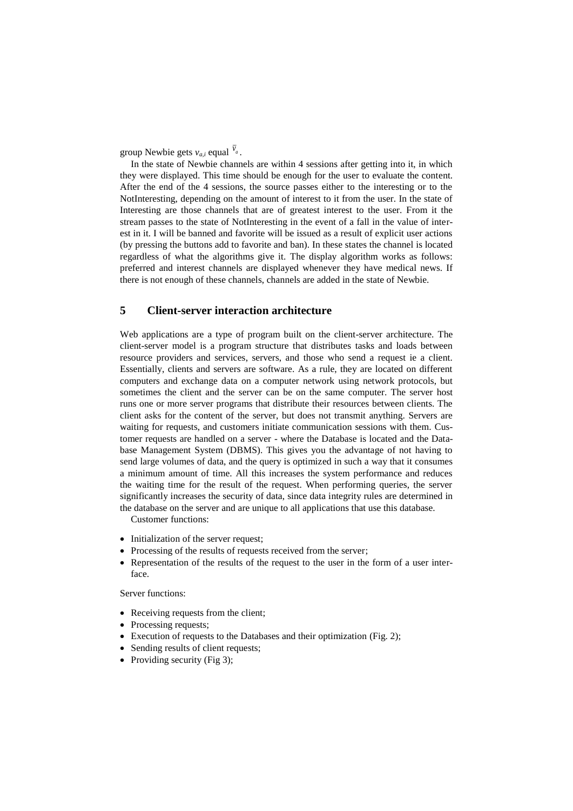group Newbie gets  $v_{a,i}$  equal  $v_a$ .

In the state of Newbie channels are within 4 sessions after getting into it, in which they were displayed. This time should be enough for the user to evaluate the content. After the end of the 4 sessions, the source passes either to the interesting or to the NotInteresting, depending on the amount of interest to it from the user. In the state of Interesting are those channels that are of greatest interest to the user. From it the stream passes to the state of NotInteresting in the event of a fall in the value of interest in it. I will be banned and favorite will be issued as a result of explicit user actions (by pressing the buttons add to favorite and ban). In these states the channel is located regardless of what the algorithms give it. The display algorithm works as follows: preferred and interest channels are displayed whenever they have medical news. If there is not enough of these channels, channels are added in the state of Newbie.

# **5 Client-server interaction architecture**

Web applications are a type of program built on the client-server architecture. The client-server model is a program structure that distributes tasks and loads between resource providers and services, servers, and those who send a request ie a client. Essentially, clients and servers are software. As a rule, they are located on different computers and exchange data on a computer network using network protocols, but sometimes the client and the server can be on the same computer. The server host runs one or more server programs that distribute their resources between clients. The client asks for the content of the server, but does not transmit anything. Servers are waiting for requests, and customers initiate communication sessions with them. Customer requests are handled on a server - where the Database is located and the Database Management System (DBMS). This gives you the advantage of not having to send large volumes of data, and the query is optimized in such a way that it consumes a minimum amount of time. All this increases the system performance and reduces the waiting time for the result of the request. When performing queries, the server significantly increases the security of data, since data integrity rules are determined in the database on the server and are unique to all applications that use this database.

Customer functions:

- Initialization of the server request;
- Processing of the results of requests received from the server;
- Representation of the results of the request to the user in the form of a user interface.

Server functions:

- Receiving requests from the client;
- Processing requests:
- Execution of requests to the Databases and their optimization (Fig. 2);
- Sending results of client requests;
- Providing security (Fig 3);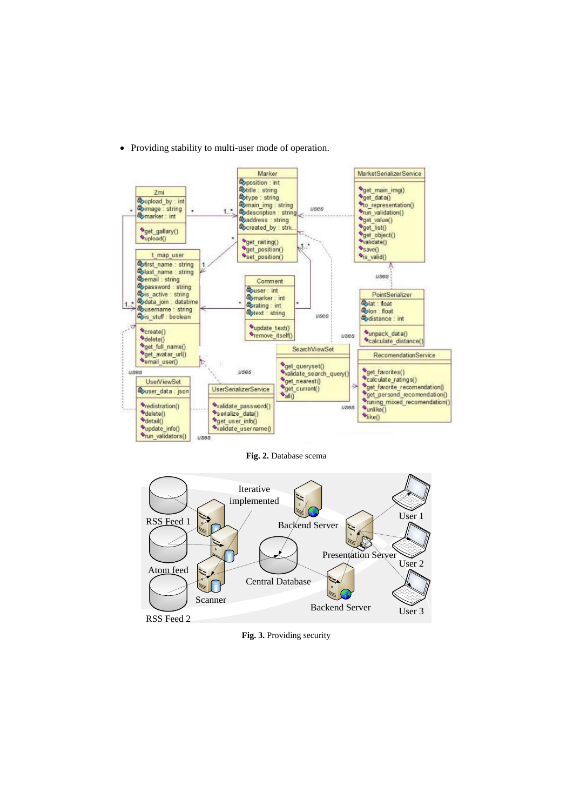

• Providing stability to multi-user mode of operation.

**Fig. 2.** Database scema



**Fig. 3.** Providing security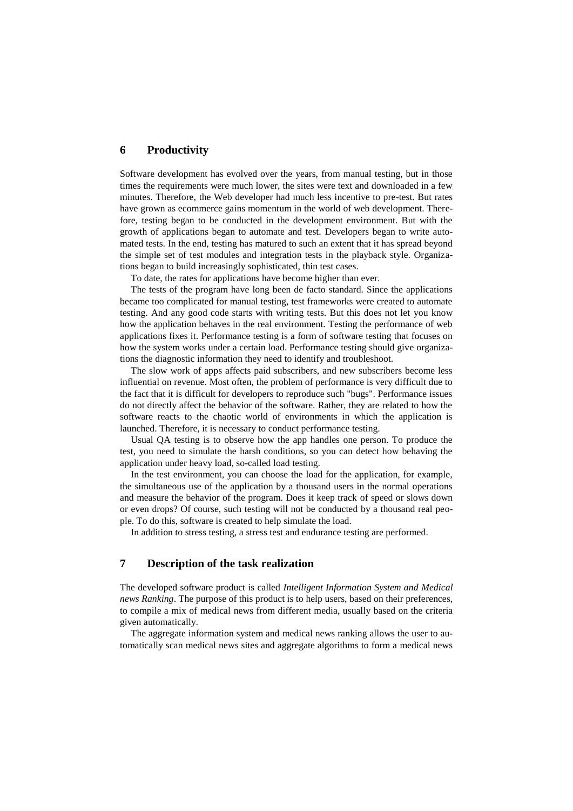#### **6 Productivity**

Software development has evolved over the years, from manual testing, but in those times the requirements were much lower, the sites were text and downloaded in a few minutes. Therefore, the Web developer had much less incentive to pre-test. But rates have grown as ecommerce gains momentum in the world of web development. Therefore, testing began to be conducted in the development environment. But with the growth of applications began to automate and test. Developers began to write automated tests. In the end, testing has matured to such an extent that it has spread beyond the simple set of test modules and integration tests in the playback style. Organizations began to build increasingly sophisticated, thin test cases.

To date, the rates for applications have become higher than ever.

The tests of the program have long been de facto standard. Since the applications became too complicated for manual testing, test frameworks were created to automate testing. And any good code starts with writing tests. But this does not let you know how the application behaves in the real environment. Testing the performance of web applications fixes it. Performance testing is a form of software testing that focuses on how the system works under a certain load. Performance testing should give organizations the diagnostic information they need to identify and troubleshoot.

The slow work of apps affects paid subscribers, and new subscribers become less influential on revenue. Most often, the problem of performance is very difficult due to the fact that it is difficult for developers to reproduce such "bugs". Performance issues do not directly affect the behavior of the software. Rather, they are related to how the software reacts to the chaotic world of environments in which the application is launched. Therefore, it is necessary to conduct performance testing.

Usual QA testing is to observe how the app handles one person. To produce the test, you need to simulate the harsh conditions, so you can detect how behaving the application under heavy load, so-called load testing.

In the test environment, you can choose the load for the application, for example, the simultaneous use of the application by a thousand users in the normal operations and measure the behavior of the program. Does it keep track of speed or slows down or even drops? Of course, such testing will not be conducted by a thousand real people. To do this, software is created to help simulate the load.

In addition to stress testing, a stress test and endurance testing are performed.

# **7 Description of the task realization**

The developed software product is called *Intelligent Information System and Medical news Ranking*. The purpose of this product is to help users, based on their preferences, to compile a mix of medical news from different media, usually based on the criteria given automatically.

The aggregate information system and medical news ranking allows the user to automatically scan medical news sites and aggregate algorithms to form a medical news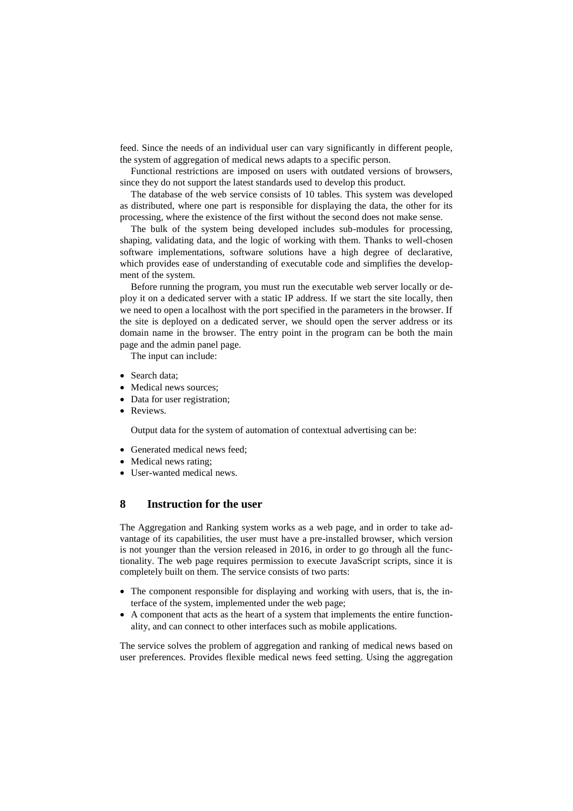feed. Since the needs of an individual user can vary significantly in different people, the system of aggregation of medical news adapts to a specific person.

Functional restrictions are imposed on users with outdated versions of browsers, since they do not support the latest standards used to develop this product.

The database of the web service consists of 10 tables. This system was developed as distributed, where one part is responsible for displaying the data, the other for its processing, where the existence of the first without the second does not make sense.

The bulk of the system being developed includes sub-modules for processing, shaping, validating data, and the logic of working with them. Thanks to well-chosen software implementations, software solutions have a high degree of declarative, which provides ease of understanding of executable code and simplifies the development of the system.

Before running the program, you must run the executable web server locally or deploy it on a dedicated server with a static IP address. If we start the site locally, then we need to open a localhost with the port specified in the parameters in the browser. If the site is deployed on a dedicated server, we should open the server address or its domain name in the browser. The entry point in the program can be both the main page and the admin panel page.

The input can include:

- Search data:
- Medical news sources:
- Data for user registration;
- Reviews.

Output data for the system of automation of contextual advertising can be:

- Generated medical news feed:
- Medical news rating;
- User-wanted medical news.

#### **8 Instruction for the user**

The Aggregation and Ranking system works as a web page, and in order to take advantage of its capabilities, the user must have a pre-installed browser, which version is not younger than the version released in 2016, in order to go through all the functionality. The web page requires permission to execute JavaScript scripts, since it is completely built on them. The service consists of two parts:

- The component responsible for displaying and working with users, that is, the interface of the system, implemented under the web page;
- A component that acts as the heart of a system that implements the entire functionality, and can connect to other interfaces such as mobile applications.

The service solves the problem of aggregation and ranking of medical news based on user preferences. Provides flexible medical news feed setting. Using the aggregation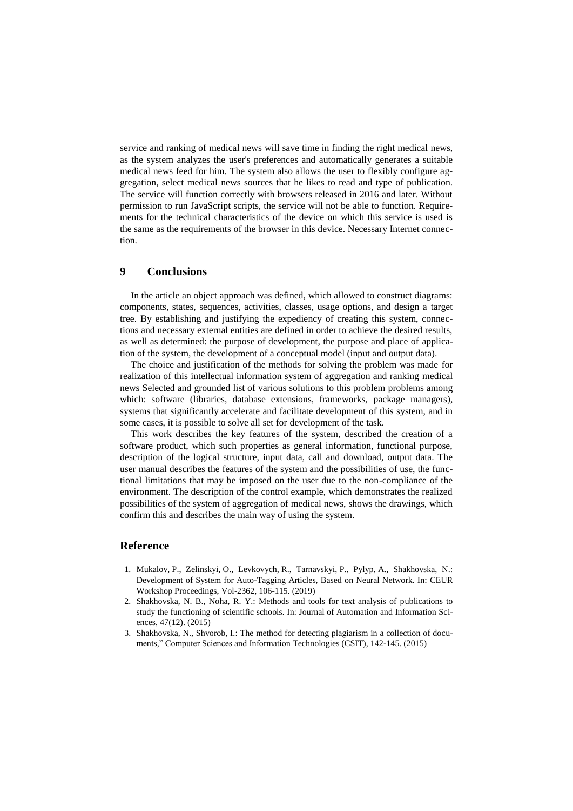service and ranking of medical news will save time in finding the right medical news, as the system analyzes the user's preferences and automatically generates a suitable medical news feed for him. The system also allows the user to flexibly configure aggregation, select medical news sources that he likes to read and type of publication. The service will function correctly with browsers released in 2016 and later. Without permission to run JavaScript scripts, the service will not be able to function. Requirements for the technical characteristics of the device on which this service is used is the same as the requirements of the browser in this device. Necessary Internet connection.

#### **9 Conclusions**

In the article an object approach was defined, which allowed to construct diagrams: components, states, sequences, activities, classes, usage options, and design a target tree. By establishing and justifying the expediency of creating this system, connections and necessary external entities are defined in order to achieve the desired results, as well as determined: the purpose of development, the purpose and place of application of the system, the development of a conceptual model (input and output data).

The choice and justification of the methods for solving the problem was made for realization of this intellectual information system of aggregation and ranking medical news Selected and grounded list of various solutions to this problem problems among which: software (libraries, database extensions, frameworks, package managers), systems that significantly accelerate and facilitate development of this system, and in some cases, it is possible to solve all set for development of the task.

This work describes the key features of the system, described the creation of a software product, which such properties as general information, functional purpose, description of the logical structure, input data, call and download, output data. The user manual describes the features of the system and the possibilities of use, the functional limitations that may be imposed on the user due to the non-compliance of the environment. The description of the control example, which demonstrates the realized possibilities of the system of aggregation of medical news, shows the drawings, which confirm this and describes the main way of using the system.

#### **Reference**

- 1. Mukalov, P., Zelinskyi, O., Levkovych, R., Tarnavskyi, P., Pylyp, A., Shakhovska, N.: Development of System for Auto-Tagging Articles, Based on Neural Network. In: CEUR Workshop Proceedings, Vol-2362, 106-115. (2019)
- 2. Shakhovska, N. B., Noha, R. Y.: Methods and tools for text analysis of publications to study the functioning of scientific schools. In: Journal of Automation and Information Sciences, 47(12). (2015)
- 3. Shakhovska, N., Shvorob, I.: The method for detecting plagiarism in a collection of documents," Computer Sciences and Information Technologies (CSIT), 142-145. (2015)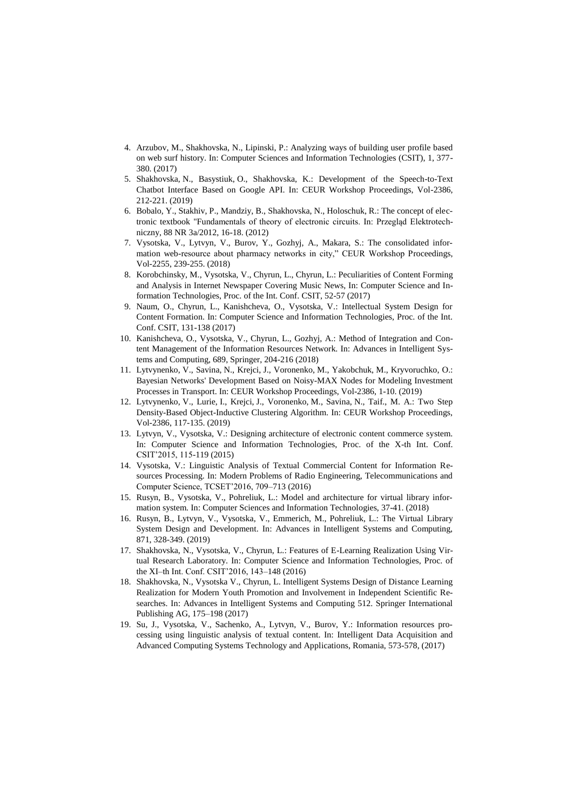- 4. Arzubov, M., Shakhovska, N., Lipinski, P.: Analyzing ways of building user profile based on web surf history. In: Computer Sciences and Information Technologies (CSIT), 1, 377- 380. (2017)
- 5. Shakhovska, N., Basystiuk, O., Shakhovska, K.: Development of the Speech-to-Text Chatbot Interface Based on Google API. In: CEUR Workshop Proceedings, Vol-2386, 212-221. (2019)
- 6. Bobalo, Y., Stakhiv, P., Mandziy, B., Shakhovska, N., Holoschuk, R.: The concept of electronic textbook "Fundamentals of theory of electronic circuits. In: Przegląd Elektrotechniczny, 88 NR 3a/2012, 16-18. (2012)
- 7. Vysotska, V., Lytvyn, V., Burov, Y., Gozhyj, A., Makara, S.: The consolidated information web-resource about pharmacy networks in city," CEUR Workshop Proceedings, Vol-2255, 239-255. (2018)
- 8. Korobchinsky, M., Vysotska, V., Chyrun, L., Chyrun, L.: Peculiarities of Content Forming and Analysis in Internet Newspaper Covering Music News, In: Computer Science and Information Technologies, Proc. of the Int. Conf. CSIT, 52-57 (2017)
- 9. Naum, O., Chyrun, L., Kanishcheva, O., Vysotska, V.: Intellectual System Design for Content Formation. In: Computer Science and Information Technologies, Proc. of the Int. Conf. CSIT, 131-138 (2017)
- 10. Kanishcheva, O., Vysotska, V., Chyrun, L., Gozhyj, A.: Method of Integration and Content Management of the Information Resources Network. In: Advances in Intelligent Systems and Computing, 689, Springer, 204-216 (2018)
- 11. Lytvynenko, V., Savina, N., Krejci, J., Voronenko, M., Yakobchuk, M., Kryvoruchko, O.: Bayesian Networks' Development Based on Noisy-MAX Nodes for Modeling Investment Processes in Transport. In: CEUR Workshop Proceedings, Vol-2386, 1-10. (2019)
- 12. Lytvynenko, V., Lurie, I., Krejci, J., Voronenko, M., Savina, N., Taif., M. A.: Two Step Density-Based Object-Inductive Clustering Algorithm. In: CEUR Workshop Proceedings, Vol-2386, 117-135. (2019)
- 13. Lytvyn, V., Vysotska, V.: Designing architecture of electronic content commerce system. In: Computer Science and Information Technologies, Proc. of the X-th Int. Conf. CSIT'2015, 115-119 (2015)
- 14. Vysotska, V.: Linguistic Analysis of Textual Commercial Content for Information Resources Processing. In: Modern Problems of Radio Engineering, Telecommunications and Computer Science, TCSET'2016, 709–713 (2016)
- 15. Rusyn, B., Vysotska, V., Pohreliuk, L.: Model and architecture for virtual library information system. In: Computer Sciences and Information Technologies, 37-41. (2018)
- 16. Rusyn, B., Lytvyn, V., Vysotska, V., Emmerich, M., Pohreliuk, L.: The Virtual Library System Design and Development. In: Advances in Intelligent Systems and Computing, 871, 328-349. (2019)
- 17. Shakhovska, N., Vysotska, V., Chyrun, L.: Features of E-Learning Realization Using Virtual Research Laboratory. In: Computer Science and Information Technologies, Proc. of the XI–th Int. Conf. CSIT'2016, 143–148 (2016)
- 18. Shakhovska, N., Vysotska V., Chyrun, L. Intelligent Systems Design of Distance Learning Realization for Modern Youth Promotion and Involvement in Independent Scientific Researches. In: Advances in Intelligent Systems and Computing 512. Springer International Publishing AG, 175–198 (2017)
- 19. Su, J., Vysotska, V., Sachenko, A., Lytvyn, V., Burov, Y.: Information resources processing using linguistic analysis of textual content. In: Intelligent Data Acquisition and Advanced Computing Systems Technology and Applications, Romania, 573-578, (2017)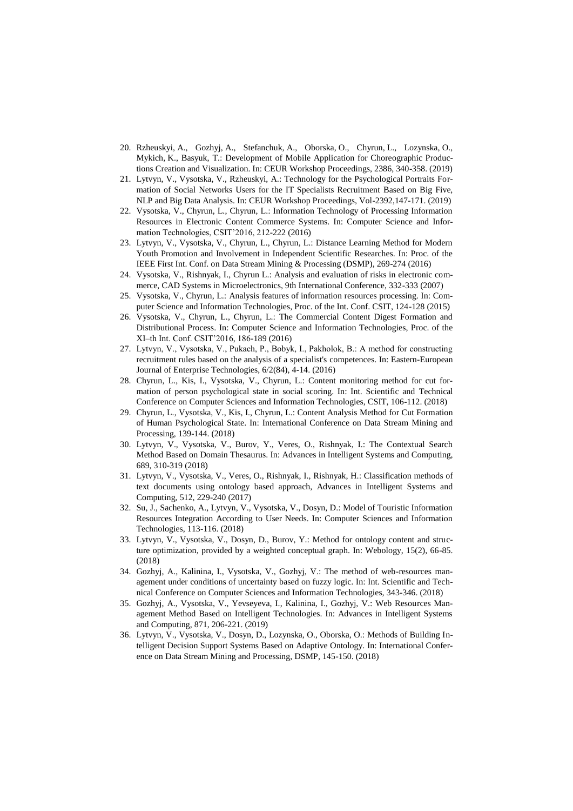- 20. Rzheuskyi, A., Gozhyj, A., Stefanchuk, A., Oborska, O., Chyrun, L., Lozynska, O., Mykich, K., Basyuk, T.: Development of Mobile Application for Choreographic Productions Creation and Visualization. In: CEUR Workshop Proceedings, 2386, 340-358. (2019)
- 21. Lytvyn, V., Vysotska, V., Rzheuskyi, A.: Technology for the Psychological Portraits Formation of Social Networks Users for the IT Specialists Recruitment Based on Big Five, NLP and Big Data Analysis. In: CEUR Workshop Proceedings, Vol-2392,147-171. (2019)
- 22. Vysotska, V., Chyrun, L., Chyrun, L.: Information Technology of Processing Information Resources in Electronic Content Commerce Systems. In: Computer Science and Information Technologies, CSIT'2016, 212-222 (2016)
- 23. Lytvyn, V., Vysotska, V., Chyrun, L., Chyrun, L.: Distance Learning Method for Modern Youth Promotion and Involvement in Independent Scientific Researches. In: Proc. of the IEEE First Int. Conf. on Data Stream Mining & Processing (DSMP), 269-274 (2016)
- 24. Vysotska, V., Rishnyak, I., Chyrun L.: Analysis and evaluation of risks in electronic commerce, CAD Systems in Microelectronics, 9th International Conference, 332-333 (2007)
- 25. Vysotska, V., Chyrun, L.: Analysis features of information resources processing. In: Computer Science and Information Technologies, Proc. of the Int. Conf. CSIT, 124-128 (2015)
- 26. Vysotska, V., Chyrun, L., Chyrun, L.: The Commercial Content Digest Formation and Distributional Process. In: Computer Science and Information Technologies, Proc. of the XI–th Int. Conf. CSIT'2016, 186-189 (2016)
- 27. Lytvyn, V., Vysotska, V., Pukach, P., Bobyk, І., Pakholok, B.: A method for constructing recruitment rules based on the analysis of a specialist's competences. In: Eastern-European Journal of Enterprise Technologies, 6/2(84), 4-14. (2016)
- 28. Chyrun, L., Kis, I., Vysotska, V., Chyrun, L.: Content monitoring method for cut formation of person psychological state in social scoring. In: Int. Scientific and Technical Conference on Computer Sciences and Information Technologies, CSIT, 106-112. (2018)
- 29. Chyrun, L., Vysotska, V., Kis, I., Chyrun, L.: Content Analysis Method for Cut Formation of Human Psychological State. In: International Conference on Data Stream Mining and Processing, 139-144. (2018)
- 30. Lytvyn, V., Vysotska, V., Burov, Y., Veres, O., Rishnyak, I.: The Contextual Search Method Based on Domain Thesaurus. In: Advances in Intelligent Systems and Computing, 689, 310-319 (2018)
- 31. Lytvyn, V., Vysotska, V., Veres, O., Rishnyak, I.[, Rishnyak, H.:](https://www.scopus.com/authid/detail.uri?origin=AuthorProfile&authorId=57191412574&zone=) Classification methods of text documents using ontology based approach, Advances in Intelligent Systems and Computing, 512, 229-240 (2017)
- 32. Su, J., Sachenko, A., Lytvyn, V., Vysotska, V., Dosyn, D.: Model of Touristic Information Resources Integration According to User Needs. In: Computer Sciences and Information Technologies, 113-116. (2018)
- 33. Lytvyn, V., Vysotska, V., Dosyn, D., Burov, Y.: Method for ontology content and structure optimization, provided by a weighted conceptual graph. In: Webology, 15(2), 66-85. (2018)
- 34. Gozhyj, A., Kalinina, I., Vysotska, V., Gozhyj, V.: The method of web-resources management under conditions of uncertainty based on fuzzy logic. In: Int. Scientific and Technical Conference on Computer Sciences and Information Technologies, 343-346. (2018)
- 35. Gozhyj, A., Vysotska, V., Yevseyeva, I., Kalinina, I., Gozhyj, V.: Web Resources Management Method Based on Intelligent Technologies. In: Advances in Intelligent Systems and Computing, 871, 206-221. (2019)
- 36. Lytvyn, V., Vysotska, V., Dosyn, D., Lozynska, O., Oborska, O.: Methods of Building Intelligent Decision Support Systems Based on Adaptive Ontology. In: International Conference on Data Stream Mining and Processing, DSMP, 145-150. (2018)